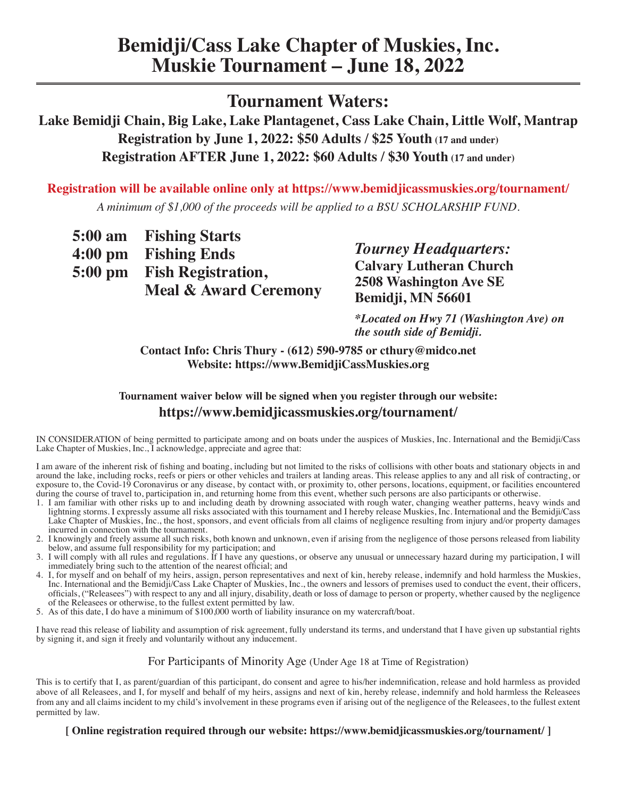### **Tournament Waters:**

**Lake Bemidji Chain, Big Lake, Lake Plantagenet, Cass Lake Chain, Little Wolf, Mantrap Registration by June 1, 2022: \$50 Adults / \$25 Youth (17 and under) Registration AFTER June 1, 2022: \$60 Adults / \$30 Youth (17 and under)** 

**Registration will be available online only at https://www.bemidjicassmuskies.org/tournament/** *A minimum of \$1,000 of the proceeds will be applied to a BSU SCHOLARSHIP FUND.*

| 5:00 am Fishing Starts           |
|----------------------------------|
| 4:00 pm Fishing Ends             |
| 5:00 pm Fish Registration,       |
| <b>Meal &amp; Award Ceremony</b> |

*Tourney Headquarters:* **Calvary Lutheran Church 2508 Washington Ave SE Bemidji, MN 56601**

*\*Located on Hwy 71 (Washington Ave) on the south side of Bemidji.*

**Contact Info: Chris Thury - (612) 590-9785 or cthury@midco.net Website: https://www.BemidjiCassMuskies.org**

#### **Tournament waiver below will be signed when you register through our website: https://www.bemidjicassmuskies.org/tournament/**

IN CONSIDERATION of being permitted to participate among and on boats under the auspices of Muskies, Inc. International and the Bemidji/Cass Lake Chapter of Muskies, Inc., I acknowledge, appreciate and agree that:

I am aware of the inherent risk of fishing and boating, including but not limited to the risks of collisions with other boats and stationary objects in and around the lake, including rocks, reefs or piers or other vehicles and trailers at landing areas. This release applies to any and all risk of contracting, or exposure to, the Covid-19 Coronavirus or any disease, by contact with, or proximity to, other persons, locations, equipment, or facilities encountered during the course of travel to, participation in, and returning home from this event, whether such persons are also participants or otherwise.

- 1. I am familiar with other risks up to and including death by drowning associated with rough water, changing weather patterns, heavy winds and lightning storms. I expressly assume all risks associated with this tournament and I hereby release Muskies, Inc. International and the Bemidji/Cass Lake Chapter of Muskies, Inc., the host, sponsors, and event officials from all claims of negligence resulting from injury and/or property damages incurred in connection with the tournament.
- 2. I knowingly and freely assume all such risks, both known and unknown, even if arising from the negligence of those persons released from liability below, and assume full responsibility for my participation; and
- 3. I will comply with all rules and regulations. If I have any questions, or observe any unusual or unnecessary hazard during my participation, I will immediately bring such to the attention of the nearest official; and
- 4. I, for myself and on behalf of my heirs, assign, person representatives and next of kin, hereby release, indemnify and hold harmless the Muskies, Inc. International and the Bemidji/Cass Lake Chapter of Muskies, Inc., the owners and lessors of premises used to conduct the event, their officers, officials, ("Releasees") with respect to any and all injury, disability, death or loss of damage to person or property, whether caused by the negligence of the Releasees or otherwise, to the fullest extent permitted by law.
- 5. As of this date, I do have a minimum of \$100,000 worth of liability insurance on my watercraft/boat.

I have read this release of liability and assumption of risk agreement, fully understand its terms, and understand that I have given up substantial rights by signing it, and sign it freely and voluntarily without any inducement.

#### For Participants of Minority Age (Under Age 18 at Time of Registration)

This is to certify that I, as parent/guardian of this participant, do consent and agree to his/her indemnification, release and hold harmless as provided above of all Releasees, and I, for myself and behalf of my heirs, assigns and next of kin, hereby release, indemnify and hold harmless the Releasees from any and all claims incident to my child's involvement in these programs even if arising out of the negligence of the Releasees, to the fullest extent permitted by law.

#### **[ Online registration required through our website: https://www.bemidjicassmuskies.org/tournament/ ]**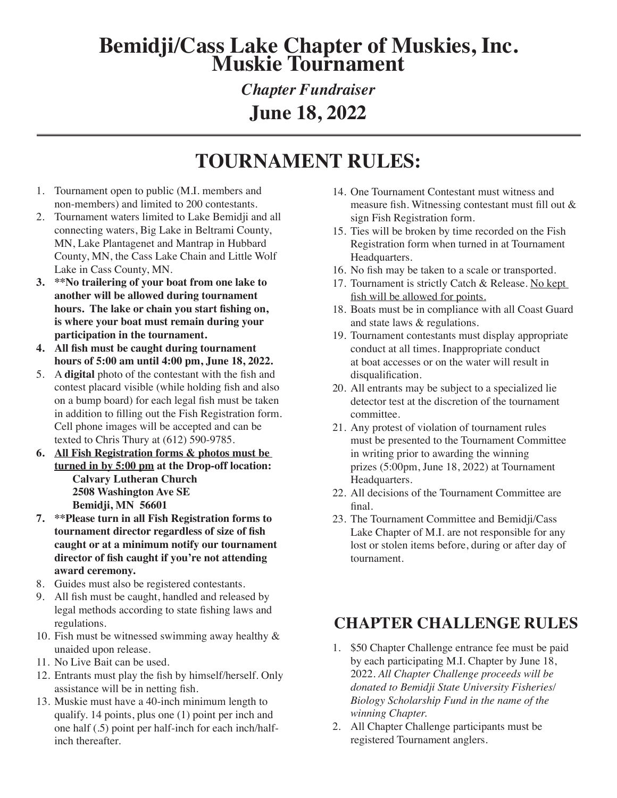# **Bemidji/Cass Lake Chapter of Muskies, Inc. Muskie Tournament**

## *Chapter Fundraiser* **June 18, 2022**

# **TOURNAMENT RULES:**

- 1. Tournament open to public (M.I. members and non-members) and limited to 200 contestants.
- 2. Tournament waters limited to Lake Bemidji and all connecting waters, Big Lake in Beltrami County, MN, Lake Plantagenet and Mantrap in Hubbard County, MN, the Cass Lake Chain and Little Wolf Lake in Cass County, MN.
- **3. \*\*No trailering of your boat from one lake to another will be allowed during tournament hours. The lake or chain you start fishing on, is where your boat must remain during your participation in the tournament.**
- **4. All fish must be caught during tournament hours of 5:00 am until 4:00 pm, June 18, 2022.**
- 5. A **digital** photo of the contestant with the fish and contest placard visible (while holding fish and also on a bump board) for each legal fish must be taken in addition to filling out the Fish Registration form. Cell phone images will be accepted and can be texted to Chris Thury at (612) 590-9785.
- **6. All Fish Registration forms & photos must be turned in by 5:00 pm at the Drop-off location: Calvary Lutheran Church 2508 Washington Ave SE Bemidji, MN 56601**
- **7. \*\*Please turn in all Fish Registration forms to tournament director regardless of size of fish caught or at a minimum notify our tournament director of fish caught if you're not attending award ceremony.**
- 8. Guides must also be registered contestants.
- 9. All fish must be caught, handled and released by legal methods according to state fishing laws and regulations.
- 10. Fish must be witnessed swimming away healthy & unaided upon release.
- 11. No Live Bait can be used.
- 12. Entrants must play the fish by himself/herself. Only assistance will be in netting fish.
- 13. Muskie must have a 40-inch minimum length to qualify. 14 points, plus one (1) point per inch and one half (.5) point per half-inch for each inch/halfinch thereafter.
- 14. One Tournament Contestant must witness and measure fish. Witnessing contestant must fill out & sign Fish Registration form.
- 15. Ties will be broken by time recorded on the Fish Registration form when turned in at Tournament Headquarters.
- 16. No fish may be taken to a scale or transported.
- 17. Tournament is strictly Catch & Release. No kept fish will be allowed for points.
- 18. Boats must be in compliance with all Coast Guard and state laws & regulations.
- 19. Tournament contestants must display appropriate conduct at all times. Inappropriate conduct at boat accesses or on the water will result in disqualification.
- 20. All entrants may be subject to a specialized lie detector test at the discretion of the tournament committee.
- 21. Any protest of violation of tournament rules must be presented to the Tournament Committee in writing prior to awarding the winning prizes (5:00pm, June 18, 2022) at Tournament Headquarters.
- 22. All decisions of the Tournament Committee are final.
- 23. The Tournament Committee and Bemidji/Cass Lake Chapter of M.I. are not responsible for any lost or stolen items before, during or after day of tournament.

## **CHAPTER CHALLENGE RULES**

- 1. \$50 Chapter Challenge entrance fee must be paid by each participating M.I. Chapter by June 18, 2022. *All Chapter Challenge proceeds will be donated to Bemidji State University Fisheries/ Biology Scholarship Fund in the name of the winning Chapter.*
- 2. All Chapter Challenge participants must be registered Tournament anglers.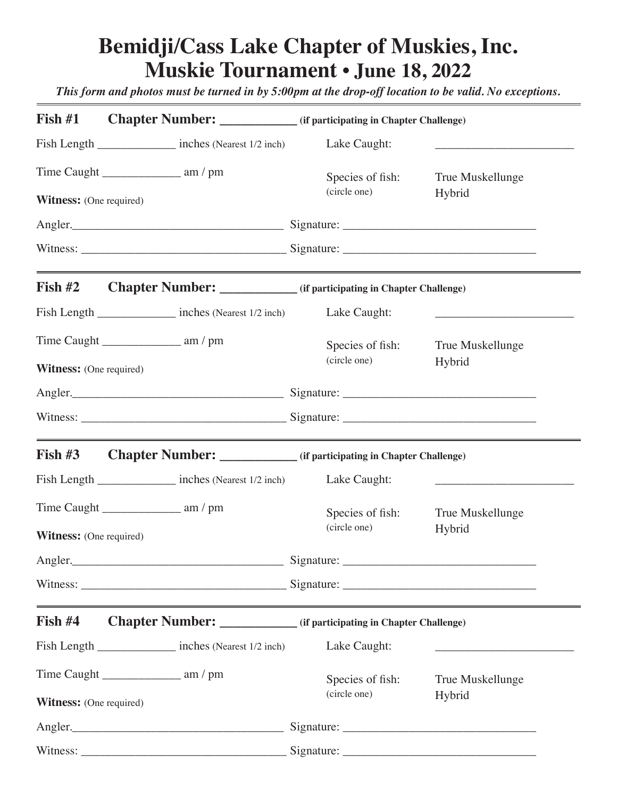# **Bemidji/Cass Lake Chapter of Muskies, Inc. Muskie Tournament** *•* **June 18, 2022**

*This form and photos must be turned in by 5:00pm at the drop-off location to be valid. No exceptions.*

| Fish $#1$                      | Chapter Number: ______________ (if participating in Chapter Challenge)                                                                                                                                                                                                 |                  |                                                                            |
|--------------------------------|------------------------------------------------------------------------------------------------------------------------------------------------------------------------------------------------------------------------------------------------------------------------|------------------|----------------------------------------------------------------------------|
|                                | Fish Length _________________ inches (Nearest 1/2 inch)                                                                                                                                                                                                                | Lake Caught:     | the control of the control of the control of the control of the control of |
|                                |                                                                                                                                                                                                                                                                        | Species of fish: | True Muskellunge                                                           |
| <b>Witness:</b> (One required) |                                                                                                                                                                                                                                                                        | (circle one)     | Hybrid                                                                     |
|                                | Angler.                                                                                                                                                                                                                                                                |                  |                                                                            |
|                                |                                                                                                                                                                                                                                                                        |                  |                                                                            |
| Fish $#2$                      | <b>Chapter Number:</b> ______________ (if participating in Chapter Challenge)                                                                                                                                                                                          |                  |                                                                            |
|                                | Fish Length inches (Nearest 1/2 inch)                                                                                                                                                                                                                                  | Lake Caught:     |                                                                            |
|                                |                                                                                                                                                                                                                                                                        | Species of fish: | True Muskellunge                                                           |
| <b>Witness:</b> (One required) |                                                                                                                                                                                                                                                                        | (circle one)     | Hybrid                                                                     |
|                                | Angler.                                                                                                                                                                                                                                                                |                  |                                                                            |
|                                |                                                                                                                                                                                                                                                                        |                  |                                                                            |
| Fish $#3$                      | <b>Chapter Number:</b> ______________ (if participating in Chapter Challenge)                                                                                                                                                                                          |                  |                                                                            |
|                                | Fish Length _______________ inches (Nearest 1/2 inch) Lake Caught:                                                                                                                                                                                                     |                  | the control of the control of the control of the control of the control of |
|                                |                                                                                                                                                                                                                                                                        | Species of fish: | True Muskellunge                                                           |
| <b>Witness:</b> (One required) |                                                                                                                                                                                                                                                                        | (circle one)     | Hybrid                                                                     |
|                                | Angler. <b>Manual Angler</b> Signature: <b>Manual Angler</b> Signature: <b>Manual Angler</b> Signature: <b>Manual Angler</b> Signature: <b>Manual Angler</b> Signature: <b>Manual Angler</b> Signature: <b>Manual Angler</b> Signature: <b>Manual Angler</b> Signature |                  |                                                                            |
|                                |                                                                                                                                                                                                                                                                        |                  |                                                                            |
| Fish $#4$                      | <u> 1989 - Johann Stoff, deutscher Stoffen und der Stoffen und der Stoffen und der Stoffen und der Stoffen und der</u><br>Chapter Number: ____________ (if participating in Chapter Challenge)                                                                         |                  |                                                                            |
|                                | Fish Length _________________ inches (Nearest 1/2 inch)                                                                                                                                                                                                                | Lake Caught:     |                                                                            |
|                                |                                                                                                                                                                                                                                                                        | Species of fish: | True Muskellunge                                                           |
| <b>Witness:</b> (One required) |                                                                                                                                                                                                                                                                        | (circle one)     | Hybrid                                                                     |
|                                | Angler.                                                                                                                                                                                                                                                                |                  |                                                                            |
|                                |                                                                                                                                                                                                                                                                        |                  |                                                                            |